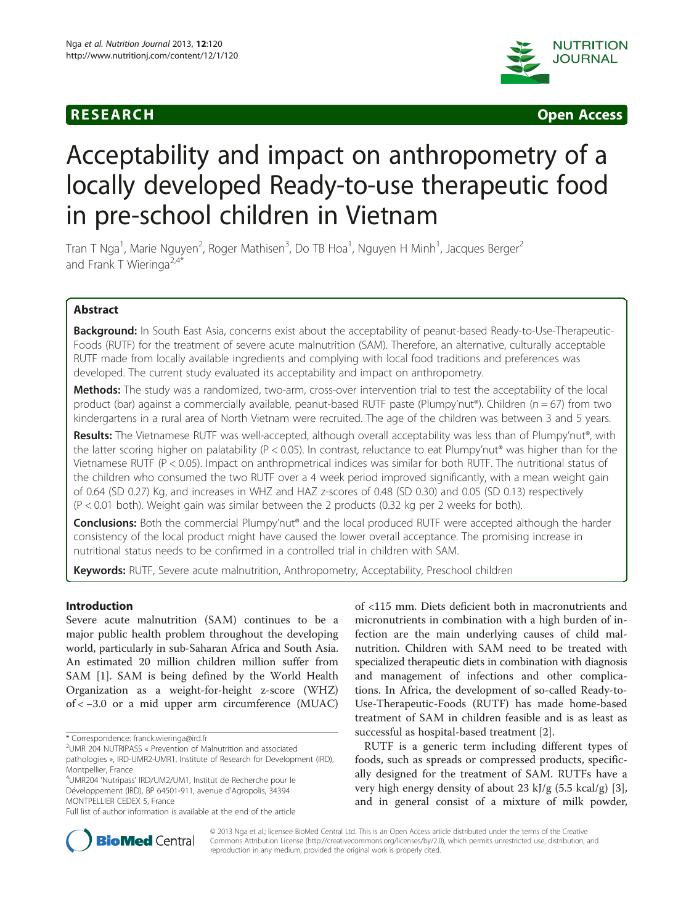

**RESEARCH CHINESE ARCH CHINESE ARCH CHINESE ARCH** 

# Acceptability and impact on anthropometry of a locally developed Ready-to-use therapeutic food in pre-school children in Vietnam

Tran T Nga<sup>1</sup>, Marie Nguyen<sup>2</sup>, Roger Mathisen<sup>3</sup>, Do TB Hoa<sup>1</sup>, Nguyen H Minh<sup>1</sup>, Jacques Berger<sup>2</sup> and Frank T Wieringa<sup>2,4\*</sup>

# Abstract

Background: In South East Asia, concerns exist about the acceptability of peanut-based Ready-to-Use-Therapeutic-Foods (RUTF) for the treatment of severe acute malnutrition (SAM). Therefore, an alternative, culturally acceptable RUTF made from locally available ingredients and complying with local food traditions and preferences was developed. The current study evaluated its acceptability and impact on anthropometry.

Methods: The study was a randomized, two-arm, cross-over intervention trial to test the acceptability of the local product (bar) against a commercially available, peanut-based RUTF paste (Plumpy'nut®). Children (n = 67) from two kindergartens in a rural area of North Vietnam were recruited. The age of the children was between 3 and 5 years.

Results: The Vietnamese RUTF was well-accepted, although overall acceptability was less than of Plumpy'nut®, with the latter scoring higher on palatability ( $P < 0.05$ ). In contrast, reluctance to eat Plumpy'nut<sup>®</sup> was higher than for the Vietnamese RUTF (P < 0.05). Impact on anthropmetrical indices was similar for both RUTF. The nutritional status of the children who consumed the two RUTF over a 4 week period improved significantly, with a mean weight gain of 0.64 (SD 0.27) Kg, and increases in WHZ and HAZ z-scores of 0.48 (SD 0.30) and 0.05 (SD 0.13) respectively (P < 0.01 both). Weight gain was similar between the 2 products (0.32 kg per 2 weeks for both).

Conclusions: Both the commercial Plumpy'nut® and the local produced RUTF were accepted although the harder consistency of the local product might have caused the lower overall acceptance. The promising increase in nutritional status needs to be confirmed in a controlled trial in children with SAM.

Keywords: RUTF, Severe acute malnutrition, Anthropometry, Acceptability, Preschool children

# Introduction

Severe acute malnutrition (SAM) continues to be a major public health problem throughout the developing world, particularly in sub-Saharan Africa and South Asia. An estimated 20 million children million suffer from SAM [[1\]](#page-7-0). SAM is being defined by the World Health Organization as a weight-for-height z-score (WHZ) of < −3.0 or a mid upper arm circumference (MUAC)

pathologies », IRD-UMR2-UMR1, Institute of Research for Development (IRD), Montpellier, France

4 UMR204 'Nutripass' IRD/UM2/UM1, Institut de Recherche pour le Développement (IRD), BP 64501-911, avenue d'Agropolis, 34394 MONTPELLIER CEDEX 5, France

of <115 mm. Diets deficient both in macronutrients and micronutrients in combination with a high burden of infection are the main underlying causes of child malnutrition. Children with SAM need to be treated with specialized therapeutic diets in combination with diagnosis and management of infections and other complications. In Africa, the development of so-called Ready-to-Use-Therapeutic-Foods (RUTF) has made home-based treatment of SAM in children feasible and is as least as successful as hospital-based treatment [\[2\]](#page-7-0).

RUTF is a generic term including different types of foods, such as spreads or compressed products, specifically designed for the treatment of SAM. RUTFs have a very high energy density of about 23 kJ/g  $(5.5 \text{ kcal/g})$  [\[3](#page-7-0)], and in general consist of a mixture of milk powder,



© 2013 Nga et al.; licensee BioMed Central Ltd. This is an Open Access article distributed under the terms of the Creative Commons Attribution License [\(http://creativecommons.org/licenses/by/2.0\)](http://creativecommons.org/licenses/by/2.0), which permits unrestricted use, distribution, and reproduction in any medium, provided the original work is properly cited.

<sup>\*</sup> Correspondence: [franck.wieringa@ird.fr](mailto:franck.wieringa@ird.fr) <sup>2</sup>

UMR 204 NUTRIPASS « Prevention of Malnutrition and associated

Full list of author information is available at the end of the article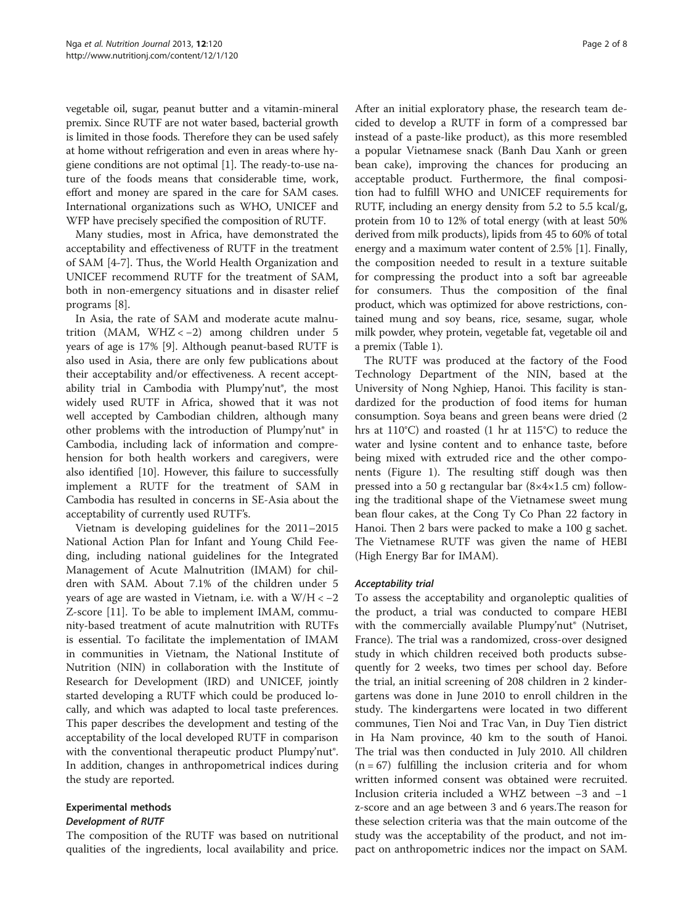vegetable oil, sugar, peanut butter and a vitamin-mineral premix. Since RUTF are not water based, bacterial growth is limited in those foods. Therefore they can be used safely at home without refrigeration and even in areas where hygiene conditions are not optimal [\[1\]](#page-7-0). The ready-to-use nature of the foods means that considerable time, work, effort and money are spared in the care for SAM cases. International organizations such as WHO, UNICEF and WFP have precisely specified the composition of RUTF.

Many studies, most in Africa, have demonstrated the acceptability and effectiveness of RUTF in the treatment of SAM [\[4](#page-7-0)-[7\]](#page-7-0). Thus, the World Health Organization and UNICEF recommend RUTF for the treatment of SAM, both in non-emergency situations and in disaster relief programs [[8](#page-7-0)].

In Asia, the rate of SAM and moderate acute malnutrition (MAM, WHZ < −2) among children under 5 years of age is 17% [\[9](#page-7-0)]. Although peanut-based RUTF is also used in Asia, there are only few publications about their acceptability and/or effectiveness. A recent acceptability trial in Cambodia with Plumpy'nut®, the most widely used RUTF in Africa, showed that it was not well accepted by Cambodian children, although many other problems with the introduction of Plumpy'nut® in Cambodia, including lack of information and comprehension for both health workers and caregivers, were also identified [[10\]](#page-7-0). However, this failure to successfully implement a RUTF for the treatment of SAM in Cambodia has resulted in concerns in SE-Asia about the acceptability of currently used RUTF's.

Vietnam is developing guidelines for the 2011–2015 National Action Plan for Infant and Young Child Feeding, including national guidelines for the Integrated Management of Acute Malnutrition (IMAM) for children with SAM. About 7.1% of the children under 5 years of age are wasted in Vietnam, i.e. with a  $W/H < -2$ Z-score [[11](#page-7-0)]. To be able to implement IMAM, community-based treatment of acute malnutrition with RUTFs is essential. To facilitate the implementation of IMAM in communities in Vietnam, the National Institute of Nutrition (NIN) in collaboration with the Institute of Research for Development (IRD) and UNICEF, jointly started developing a RUTF which could be produced locally, and which was adapted to local taste preferences. This paper describes the development and testing of the acceptability of the local developed RUTF in comparison with the conventional therapeutic product Plumpy'nut®. In addition, changes in anthropometrical indices during the study are reported.

# Experimental methods Development of RUTF

The composition of the RUTF was based on nutritional qualities of the ingredients, local availability and price.

After an initial exploratory phase, the research team decided to develop a RUTF in form of a compressed bar instead of a paste-like product), as this more resembled a popular Vietnamese snack (Banh Dau Xanh or green bean cake), improving the chances for producing an acceptable product. Furthermore, the final composition had to fulfill WHO and UNICEF requirements for RUTF, including an energy density from 5.2 to 5.5 kcal/g, protein from 10 to 12% of total energy (with at least 50% derived from milk products), lipids from 45 to 60% of total energy and a maximum water content of 2.5% [\[1\]](#page-7-0). Finally, the composition needed to result in a texture suitable for compressing the product into a soft bar agreeable for consumers. Thus the composition of the final product, which was optimized for above restrictions, contained mung and soy beans, rice, sesame, sugar, whole milk powder, whey protein, vegetable fat, vegetable oil and a premix (Table [1\)](#page-2-0).

The RUTF was produced at the factory of the Food Technology Department of the NIN, based at the University of Nong Nghiep, Hanoi. This facility is standardized for the production of food items for human consumption. Soya beans and green beans were dried (2 hrs at 110°C) and roasted (1 hr at 115°C) to reduce the water and lysine content and to enhance taste, before being mixed with extruded rice and the other components (Figure [1](#page-3-0)). The resulting stiff dough was then pressed into a 50 g rectangular bar (8×4×1.5 cm) following the traditional shape of the Vietnamese sweet mung bean flour cakes, at the Cong Ty Co Phan 22 factory in Hanoi. Then 2 bars were packed to make a 100 g sachet. The Vietnamese RUTF was given the name of HEBI (High Energy Bar for IMAM).

# Acceptability trial

To assess the acceptability and organoleptic qualities of the product, a trial was conducted to compare HEBI with the commercially available Plumpy'nut® (Nutriset, France). The trial was a randomized, cross-over designed study in which children received both products subsequently for 2 weeks, two times per school day. Before the trial, an initial screening of 208 children in 2 kindergartens was done in June 2010 to enroll children in the study. The kindergartens were located in two different communes, Tien Noi and Trac Van, in Duy Tien district in Ha Nam province, 40 km to the south of Hanoi. The trial was then conducted in July 2010. All children  $(n = 67)$  fulfilling the inclusion criteria and for whom written informed consent was obtained were recruited. Inclusion criteria included a WHZ between −3 and −1 z-score and an age between 3 and 6 years.The reason for these selection criteria was that the main outcome of the study was the acceptability of the product, and not impact on anthropometric indices nor the impact on SAM.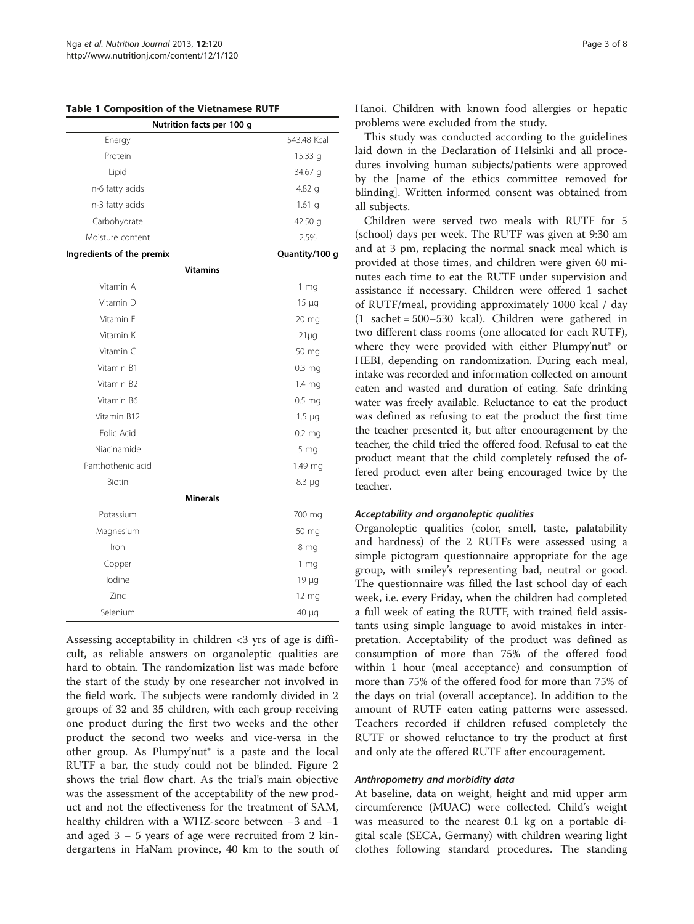<span id="page-2-0"></span>Table 1 Composition of the Vietnamese RUTF

| Nutrition facts per 100 g |                   |  |  |  |  |
|---------------------------|-------------------|--|--|--|--|
| Energy                    | 543.48 Kcal       |  |  |  |  |
| Protein                   | 15.33 g           |  |  |  |  |
| Lipid                     | 34.67 g           |  |  |  |  |
| n-6 fatty acids           | $4.82$ q          |  |  |  |  |
| n-3 fatty acids           | 1.61 <sub>q</sub> |  |  |  |  |
| Carbohydrate              | 42.50 g           |  |  |  |  |
| Moisture content          | 2.5%              |  |  |  |  |
| Ingredients of the premix | Quantity/100 g    |  |  |  |  |
| <b>Vitamins</b>           |                   |  |  |  |  |
| Vitamin A                 | 1 <sub>mg</sub>   |  |  |  |  |
| Vitamin D                 | $15 \mu g$        |  |  |  |  |
| Vitamin E                 | 20 mg             |  |  |  |  |
| Vitamin K                 | $21\mu$ g         |  |  |  |  |
| Vitamin C                 | 50 mg             |  |  |  |  |
| Vitamin B1                | 0.3 <sub>mg</sub> |  |  |  |  |
| Vitamin B2                | 1.4 mg            |  |  |  |  |
| Vitamin B6                | $0.5$ mg          |  |  |  |  |
| Vitamin B12               | $1.5 \mu q$       |  |  |  |  |
| Folic Acid                | $0.2$ mg          |  |  |  |  |
| Niacinamide               | 5 <sub>mg</sub>   |  |  |  |  |
| Panthothenic acid         | 1.49 mg           |  |  |  |  |
| Biotin                    | $8.3 \mu g$       |  |  |  |  |
| <b>Minerals</b>           |                   |  |  |  |  |
| Potassium                 | 700 mg            |  |  |  |  |
| Magnesium                 | 50 mg             |  |  |  |  |
| Iron                      | 8 mg              |  |  |  |  |
| Copper                    | 1 <sub>mg</sub>   |  |  |  |  |
| lodine                    | $19 \mu g$        |  |  |  |  |
| 7inc                      | 12 mg             |  |  |  |  |
| Selenium                  | 40 µg             |  |  |  |  |

Assessing acceptability in children <3 yrs of age is difficult, as reliable answers on organoleptic qualities are hard to obtain. The randomization list was made before the start of the study by one researcher not involved in the field work. The subjects were randomly divided in 2 groups of 32 and 35 children, with each group receiving one product during the first two weeks and the other product the second two weeks and vice-versa in the other group. As Plumpy'nut® is a paste and the local RUTF a bar, the study could not be blinded. Figure [2](#page-4-0) shows the trial flow chart. As the trial's main objective was the assessment of the acceptability of the new product and not the effectiveness for the treatment of SAM, healthy children with a WHZ-score between −3 and −1 and aged 3 – 5 years of age were recruited from 2 kindergartens in HaNam province, 40 km to the south of Hanoi. Children with known food allergies or hepatic problems were excluded from the study.

This study was conducted according to the guidelines laid down in the Declaration of Helsinki and all procedures involving human subjects/patients were approved by the [name of the ethics committee removed for blinding]. Written informed consent was obtained from all subjects.

Children were served two meals with RUTF for 5 (school) days per week. The RUTF was given at 9:30 am and at 3 pm, replacing the normal snack meal which is provided at those times, and children were given 60 minutes each time to eat the RUTF under supervision and assistance if necessary. Children were offered 1 sachet of RUTF/meal, providing approximately 1000 kcal / day (1 sachet = 500–530 kcal). Children were gathered in two different class rooms (one allocated for each RUTF), where they were provided with either Plumpy'nut<sup>®</sup> or HEBI, depending on randomization. During each meal, intake was recorded and information collected on amount eaten and wasted and duration of eating. Safe drinking water was freely available. Reluctance to eat the product was defined as refusing to eat the product the first time the teacher presented it, but after encouragement by the teacher, the child tried the offered food. Refusal to eat the product meant that the child completely refused the offered product even after being encouraged twice by the teacher.

### Acceptability and organoleptic qualities

Organoleptic qualities (color, smell, taste, palatability and hardness) of the 2 RUTFs were assessed using a simple pictogram questionnaire appropriate for the age group, with smiley's representing bad, neutral or good. The questionnaire was filled the last school day of each week, i.e. every Friday, when the children had completed a full week of eating the RUTF, with trained field assistants using simple language to avoid mistakes in interpretation. Acceptability of the product was defined as consumption of more than 75% of the offered food within 1 hour (meal acceptance) and consumption of more than 75% of the offered food for more than 75% of the days on trial (overall acceptance). In addition to the amount of RUTF eaten eating patterns were assessed. Teachers recorded if children refused completely the RUTF or showed reluctance to try the product at first and only ate the offered RUTF after encouragement.

### Anthropometry and morbidity data

At baseline, data on weight, height and mid upper arm circumference (MUAC) were collected. Child's weight was measured to the nearest 0.1 kg on a portable digital scale (SECA, Germany) with children wearing light clothes following standard procedures. The standing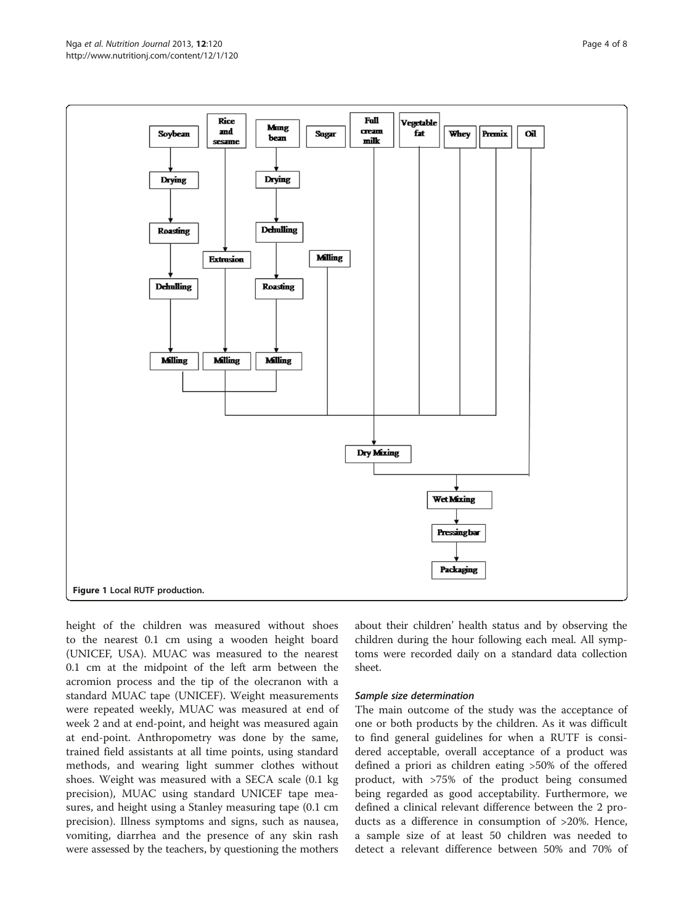<span id="page-3-0"></span>

height of the children was measured without shoes to the nearest 0.1 cm using a wooden height board (UNICEF, USA). MUAC was measured to the nearest 0.1 cm at the midpoint of the left arm between the acromion process and the tip of the olecranon with a standard MUAC tape (UNICEF). Weight measurements were repeated weekly, MUAC was measured at end of week 2 and at end-point, and height was measured again at end-point. Anthropometry was done by the same, trained field assistants at all time points, using standard methods, and wearing light summer clothes without shoes. Weight was measured with a SECA scale (0.1 kg precision), MUAC using standard UNICEF tape measures, and height using a Stanley measuring tape (0.1 cm precision). Illness symptoms and signs, such as nausea, vomiting, diarrhea and the presence of any skin rash were assessed by the teachers, by questioning the mothers about their children' health status and by observing the children during the hour following each meal. All symptoms were recorded daily on a standard data collection sheet.

### Sample size determination

The main outcome of the study was the acceptance of one or both products by the children. As it was difficult to find general guidelines for when a RUTF is considered acceptable, overall acceptance of a product was defined a priori as children eating >50% of the offered product, with >75% of the product being consumed being regarded as good acceptability. Furthermore, we defined a clinical relevant difference between the 2 products as a difference in consumption of >20%. Hence, a sample size of at least 50 children was needed to detect a relevant difference between 50% and 70% of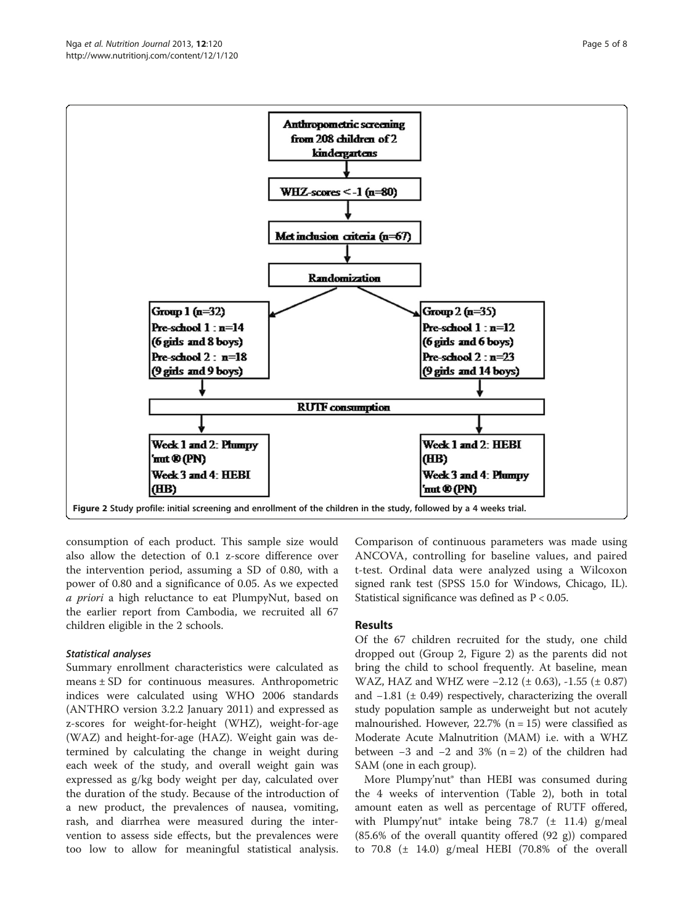<span id="page-4-0"></span>

consumption of each product. This sample size would also allow the detection of 0.1 z-score difference over the intervention period, assuming a SD of 0.80, with a power of 0.80 and a significance of 0.05. As we expected a priori a high reluctance to eat PlumpyNut, based on the earlier report from Cambodia, we recruited all 67 children eligible in the 2 schools.

# Statistical analyses

Summary enrollment characteristics were calculated as means ± SD for continuous measures. Anthropometric indices were calculated using WHO 2006 standards (ANTHRO version 3.2.2 January 2011) and expressed as z-scores for weight-for-height (WHZ), weight-for-age (WAZ) and height-for-age (HAZ). Weight gain was determined by calculating the change in weight during each week of the study, and overall weight gain was expressed as g/kg body weight per day, calculated over the duration of the study. Because of the introduction of a new product, the prevalences of nausea, vomiting, rash, and diarrhea were measured during the intervention to assess side effects, but the prevalences were too low to allow for meaningful statistical analysis.

Comparison of continuous parameters was made using ANCOVA, controlling for baseline values, and paired t-test. Ordinal data were analyzed using a Wilcoxon signed rank test (SPSS 15.0 for Windows, Chicago, IL). Statistical significance was defined as P < 0.05.

# Results

Of the 67 children recruited for the study, one child dropped out (Group 2, Figure 2) as the parents did not bring the child to school frequently. At baseline, mean WAZ, HAZ and WHZ were −2.12 (± 0.63), -1.55 (± 0.87) and  $-1.81$  ( $\pm$  0.49) respectively, characterizing the overall study population sample as underweight but not acutely malnourished. However,  $22.7\%$  (n = 15) were classified as Moderate Acute Malnutrition (MAM) i.e. with a WHZ between  $-3$  and  $-2$  and  $3\%$  (n = 2) of the children had SAM (one in each group).

More Plumpy'nut® than HEBI was consumed during the 4 weeks of intervention (Table [2\)](#page-5-0), both in total amount eaten as well as percentage of RUTF offered, with Plumpy'nut<sup>®</sup> intake being 78.7 ( $\pm$  11.4) g/meal (85.6% of the overall quantity offered (92 g)) compared to  $70.8$  ( $\pm$  14.0) g/meal HEBI (70.8% of the overall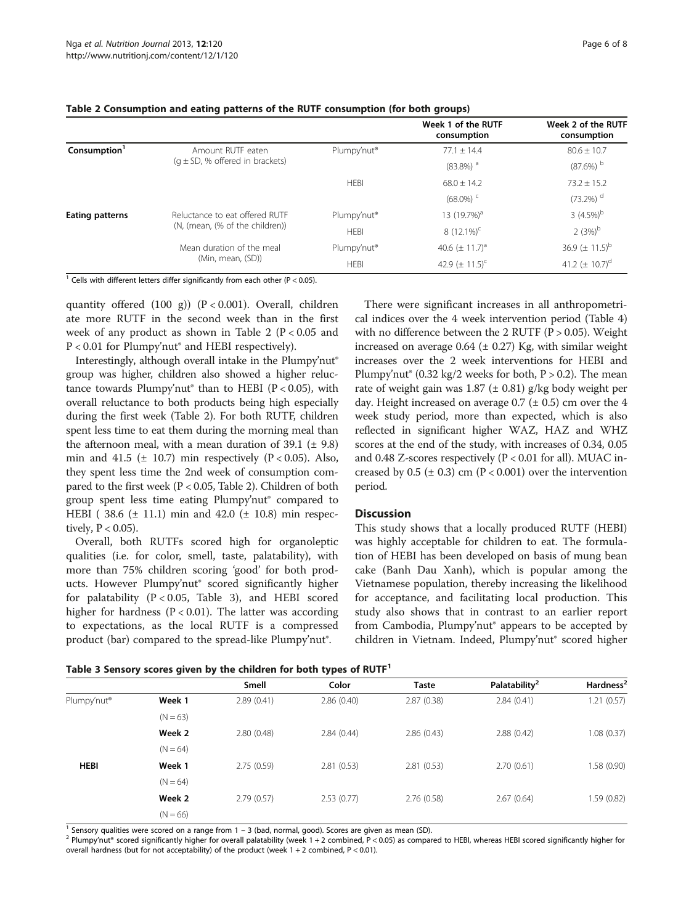|                          |                                     |                         | Week 1 of the RUTF<br>consumption | Week 2 of the RUTF<br>consumption |
|--------------------------|-------------------------------------|-------------------------|-----------------------------------|-----------------------------------|
| Consumption <sup>1</sup> | Amount RUTF eaten                   | Plumpy'nut <sup>®</sup> | $77.1 \pm 14.4$                   | $80.6 \pm 10.7$                   |
|                          | $(q \pm SD, %$ offered in brackets) |                         | $(83.8\%)$ <sup>a</sup>           | $(87.6\%)$ <sup>b</sup>           |
|                          |                                     | <b>HEBI</b>             | $68.0 \pm 14.2$                   | $73.2 \pm 15.2$                   |
|                          |                                     |                         | $(68.0\%)$ <sup>c</sup>           | $(73.2\%)$ <sup>d</sup>           |
| Eating patterns          | Reluctance to eat offered RUTF      | Plumpy'nut <sup>®</sup> | 13 $(19.7%)a$                     | 3 $(4.5\%)^b$                     |
|                          | (N, (mean, (% of the children))     | <b>HEBI</b>             | 8 $(12.1\%)^C$                    | $2(3%)^b$                         |
|                          | Mean duration of the meal           | Plumpy'nut <sup>®</sup> | 40.6 $(\pm 11.7)^a$               | 36.9 $(\pm 11.5)^{b}$             |
|                          | (Min, mean, (SD))                   | <b>HEBI</b>             | 42.9 $(\pm 11.5)^c$               | 41.2 $(\pm 10.7)^d$               |

#### <span id="page-5-0"></span>Table 2 Consumption and eating patterns of the RUTF consumption (for both groups)

<sup>1</sup> Cells with different letters differ significantly from each other (P < 0.05).

quantity offered  $(100 \text{ g})$   $(P < 0.001)$ . Overall, children ate more RUTF in the second week than in the first week of any product as shown in Table 2 ( $P < 0.05$  and P < 0.01 for Plumpy'nut® and HEBI respectively).

Interestingly, although overall intake in the Plumpy'nut<sup>®</sup> group was higher, children also showed a higher reluctance towards Plumpy'nut<sup>®</sup> than to HEBI ( $P < 0.05$ ), with overall reluctance to both products being high especially during the first week (Table 2). For both RUTF, children spent less time to eat them during the morning meal than the afternoon meal, with a mean duration of 39.1 ( $\pm$  9.8) min and 41.5 ( $\pm$  10.7) min respectively (P < 0.05). Also, they spent less time the 2nd week of consumption compared to the first week (P < 0.05, Table 2). Children of both group spent less time eating Plumpy'nut® compared to HEBI ( 38.6 (± 11.1) min and 42.0 (± 10.8) min respectively,  $P < 0.05$ ).

Overall, both RUTFs scored high for organoleptic qualities (i.e. for color, smell, taste, palatability), with more than 75% children scoring 'good' for both products. However Plumpy'nut® scored significantly higher for palatability  $(P < 0.05,$  Table 3), and HEBI scored higher for hardness ( $P < 0.01$ ). The latter was according to expectations, as the local RUTF is a compressed product (bar) compared to the spread-like Plumpy'nut<sup>®</sup>.

There were significant increases in all anthropometrical indices over the 4 week intervention period (Table [4](#page-6-0)) with no difference between the 2 RUTF ( $P > 0.05$ ). Weight increased on average  $0.64$  ( $\pm$  0.27) Kg, with similar weight increases over the 2 week interventions for HEBI and Plumpy'nut<sup>®</sup> (0.32 kg/2 weeks for both,  $P > 0.2$ ). The mean rate of weight gain was  $1.87 \ (\pm 0.81)$  g/kg body weight per day. Height increased on average  $0.7$  ( $\pm$  0.5) cm over the 4 week study period, more than expected, which is also reflected in significant higher WAZ, HAZ and WHZ scores at the end of the study, with increases of 0.34, 0.05 and 0.48 Z-scores respectively ( $P < 0.01$  for all). MUAC increased by  $0.5$  ( $\pm$  0.3) cm ( $P$  < 0.001) over the intervention period.

### **Discussion**

This study shows that a locally produced RUTF (HEBI) was highly acceptable for children to eat. The formulation of HEBI has been developed on basis of mung bean cake (Banh Dau Xanh), which is popular among the Vietnamese population, thereby increasing the likelihood for acceptance, and facilitating local production. This study also shows that in contrast to an earlier report from Cambodia, Plumpy'nut® appears to be accepted by children in Vietnam. Indeed, Plumpy'nut® scored higher

|  |  |  | Table 3 Sensory scores given by the children for both types of RUTF <sup>1</sup> |
|--|--|--|----------------------------------------------------------------------------------|
|  |  |  |                                                                                  |

|                         |            | Table 5 Sensory scores given by the children for both types of NOTT<br>Smell | Color      | <b>Taste</b> | Palatability <sup>2</sup> | Hardness <sup>2</sup> |
|-------------------------|------------|------------------------------------------------------------------------------|------------|--------------|---------------------------|-----------------------|
| Plumpy'nut <sup>®</sup> | Week 1     | 2.89(0.41)                                                                   | 2.86(0.40) | 2.87(0.38)   | 2.84(0.41)                | 1.21(0.57)            |
|                         | $(N = 63)$ |                                                                              |            |              |                           |                       |
|                         | Week 2     | 2.80(0.48)                                                                   | 2.84(0.44) | 2.86(0.43)   | 2.88(0.42)                | 1.08(0.37)            |
|                         | $(N = 64)$ |                                                                              |            |              |                           |                       |
| <b>HEBI</b>             | Week 1     | 2.75(0.59)                                                                   | 2.81(0.53) | 2.81(0.53)   | 2.70(0.61)                | 1.58 (0.90)           |
|                         | $(N = 64)$ |                                                                              |            |              |                           |                       |
|                         | Week 2     | 2.79(0.57)                                                                   | 2.53(0.77) | 2.76(0.58)   | 2.67(0.64)                | 1.59(0.82)            |
|                         | $(N = 66)$ |                                                                              |            |              |                           |                       |

<sup>1</sup> Sensory qualities were scored on a range from 1 – 3 (bad, normal, good). Scores are given as mean (SD).<br><sup>2</sup> Plumpy'nut® scored significantly higher for overall palatability (week 1 + 2 combined, P < 0.05) as compared overall hardness (but for not acceptability) of the product (week 1 + 2 combined, P < 0.01).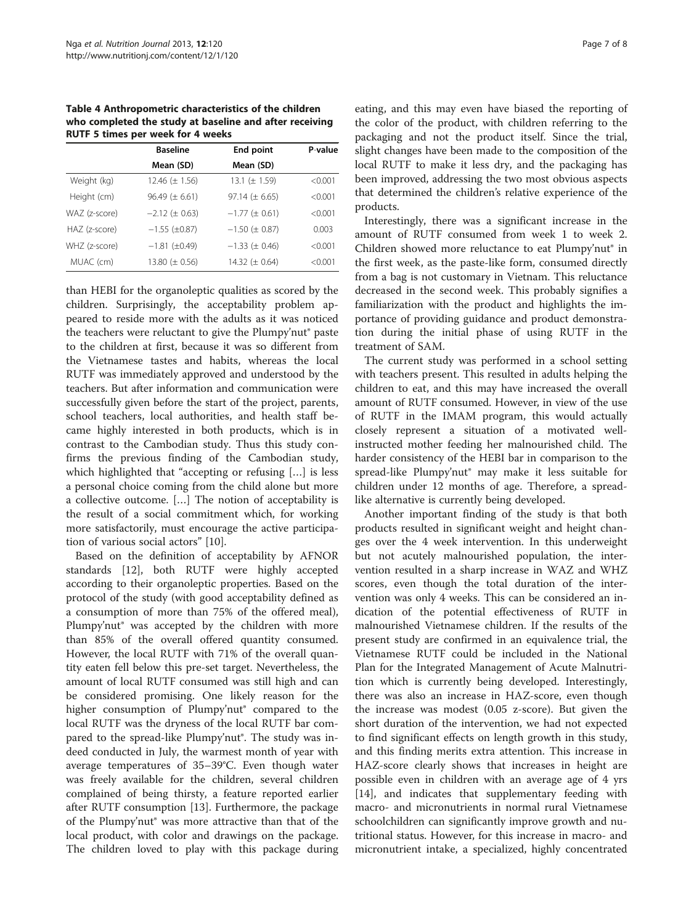<span id="page-6-0"></span>Table 4 Anthropometric characteristics of the children who completed the study at baseline and after receiving RUTF 5 times per week for 4 weeks

|               | <b>Baseline</b>       | End point             | P-value |  |  |
|---------------|-----------------------|-----------------------|---------|--|--|
|               | Mean (SD)             | Mean (SD)             |         |  |  |
| Weight (kg)   | 12.46 $(\pm 1.56)$    | 13.1 $(\pm 1.59)$     | < 0.001 |  |  |
| Height (cm)   | $96.49 \ (\pm 6.61)$  | 97.14 ( $\pm$ 6.65)   | < 0.001 |  |  |
| WAZ (z-score) | $-2.12$ ( $\pm$ 0.63) | $-1.77 (\pm 0.61)$    | < 0.001 |  |  |
| HAZ (z-score) | $-1.55$ ( $\pm$ 0.87) | $-1.50$ ( $\pm$ 0.87) | 0.003   |  |  |
| WHZ (z-score) | $-1.81$ ( $\pm$ 0.49) | $-1.33$ ( $\pm$ 0.46) | < 0.001 |  |  |
| MUAC (cm)     | 13.80 $(\pm 0.56)$    | 14.32 ( $\pm$ 0.64)   | < 0.001 |  |  |

than HEBI for the organoleptic qualities as scored by the children. Surprisingly, the acceptability problem appeared to reside more with the adults as it was noticed the teachers were reluctant to give the Plumpy'nut® paste to the children at first, because it was so different from the Vietnamese tastes and habits, whereas the local RUTF was immediately approved and understood by the teachers. But after information and communication were successfully given before the start of the project, parents, school teachers, local authorities, and health staff became highly interested in both products, which is in contrast to the Cambodian study. Thus this study confirms the previous finding of the Cambodian study, which highlighted that "accepting or refusing […] is less a personal choice coming from the child alone but more a collective outcome. […] The notion of acceptability is the result of a social commitment which, for working more satisfactorily, must encourage the active participation of various social actors" [\[10](#page-7-0)].

Based on the definition of acceptability by AFNOR standards [[12\]](#page-7-0), both RUTF were highly accepted according to their organoleptic properties. Based on the protocol of the study (with good acceptability defined as a consumption of more than 75% of the offered meal), Plumpy'nut<sup>®</sup> was accepted by the children with more than 85% of the overall offered quantity consumed. However, the local RUTF with 71% of the overall quantity eaten fell below this pre-set target. Nevertheless, the amount of local RUTF consumed was still high and can be considered promising. One likely reason for the higher consumption of Plumpy'nut<sup>®</sup> compared to the local RUTF was the dryness of the local RUTF bar compared to the spread-like Plumpy'nut®. The study was indeed conducted in July, the warmest month of year with average temperatures of 35–39°C. Even though water was freely available for the children, several children complained of being thirsty, a feature reported earlier after RUTF consumption [\[13](#page-7-0)]. Furthermore, the package of the Plumpy'nut® was more attractive than that of the local product, with color and drawings on the package. The children loved to play with this package during

eating, and this may even have biased the reporting of the color of the product, with children referring to the packaging and not the product itself. Since the trial, slight changes have been made to the composition of the local RUTF to make it less dry, and the packaging has been improved, addressing the two most obvious aspects that determined the children's relative experience of the products.

Interestingly, there was a significant increase in the amount of RUTF consumed from week 1 to week 2. Children showed more reluctance to eat Plumpy'nut® in the first week, as the paste-like form, consumed directly from a bag is not customary in Vietnam. This reluctance decreased in the second week. This probably signifies a familiarization with the product and highlights the importance of providing guidance and product demonstration during the initial phase of using RUTF in the treatment of SAM.

The current study was performed in a school setting with teachers present. This resulted in adults helping the children to eat, and this may have increased the overall amount of RUTF consumed. However, in view of the use of RUTF in the IMAM program, this would actually closely represent a situation of a motivated wellinstructed mother feeding her malnourished child. The harder consistency of the HEBI bar in comparison to the spread-like Plumpy'nut® may make it less suitable for children under 12 months of age. Therefore, a spreadlike alternative is currently being developed.

Another important finding of the study is that both products resulted in significant weight and height changes over the 4 week intervention. In this underweight but not acutely malnourished population, the intervention resulted in a sharp increase in WAZ and WHZ scores, even though the total duration of the intervention was only 4 weeks. This can be considered an indication of the potential effectiveness of RUTF in malnourished Vietnamese children. If the results of the present study are confirmed in an equivalence trial, the Vietnamese RUTF could be included in the National Plan for the Integrated Management of Acute Malnutrition which is currently being developed. Interestingly, there was also an increase in HAZ-score, even though the increase was modest (0.05 z-score). But given the short duration of the intervention, we had not expected to find significant effects on length growth in this study, and this finding merits extra attention. This increase in HAZ-score clearly shows that increases in height are possible even in children with an average age of 4 yrs [[14\]](#page-7-0), and indicates that supplementary feeding with macro- and micronutrients in normal rural Vietnamese schoolchildren can significantly improve growth and nutritional status. However, for this increase in macro- and micronutrient intake, a specialized, highly concentrated